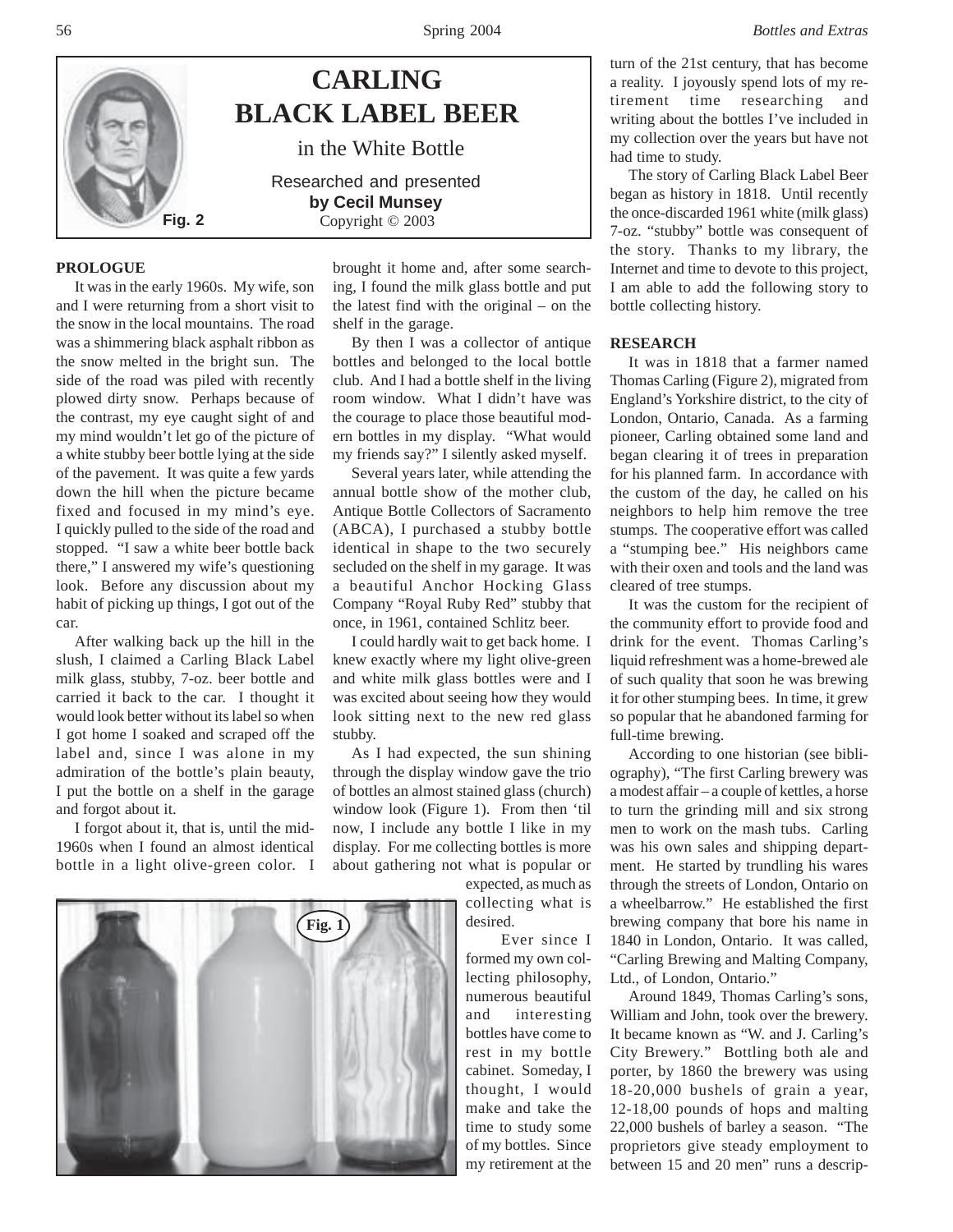

## **PROLOGUE**

It was in the early 1960s. My wife, son and I were returning from a short visit to the snow in the local mountains. The road was a shimmering black asphalt ribbon as the snow melted in the bright sun. The side of the road was piled with recently plowed dirty snow. Perhaps because of the contrast, my eye caught sight of and my mind wouldn't let go of the picture of a white stubby beer bottle lying at the side of the pavement. It was quite a few yards down the hill when the picture became fixed and focused in my mind's eye. I quickly pulled to the side of the road and stopped. "I saw a white beer bottle back there," I answered my wife's questioning look. Before any discussion about my habit of picking up things, I got out of the car.

After walking back up the hill in the slush, I claimed a Carling Black Label milk glass, stubby, 7-oz. beer bottle and carried it back to the car. I thought it would look better without its label so when I got home I soaked and scraped off the label and, since I was alone in my admiration of the bottle's plain beauty, I put the bottle on a shelf in the garage and forgot about it.

I forgot about it, that is, until the mid-1960s when I found an almost identical bottle in a light olive-green color. I

brought it home and, after some searching, I found the milk glass bottle and put the latest find with the original – on the shelf in the garage.

By then I was a collector of antique bottles and belonged to the local bottle club. And I had a bottle shelf in the living room window. What I didn't have was the courage to place those beautiful modern bottles in my display. "What would my friends say?" I silently asked myself.

Several years later, while attending the annual bottle show of the mother club, Antique Bottle Collectors of Sacramento (ABCA), I purchased a stubby bottle identical in shape to the two securely secluded on the shelf in my garage. It was a beautiful Anchor Hocking Glass Company "Royal Ruby Red" stubby that once, in 1961, contained Schlitz beer.

I could hardly wait to get back home. I knew exactly where my light olive-green and white milk glass bottles were and I was excited about seeing how they would look sitting next to the new red glass stubby.

As I had expected, the sun shining through the display window gave the trio of bottles an almost stained glass (church) window look (Figure 1). From then 'til now, I include any bottle I like in my display. For me collecting bottles is more about gathering not what is popular or

> expected, as much as collecting what is desired.

Ever since I formed my own collecting philosophy, numerous beautiful and interesting bottles have come to rest in my bottle cabinet. Someday, I thought, I would make and take the time to study some of my bottles. Since my retirement at the turn of the 21st century, that has become a reality. I joyously spend lots of my retirement time researching and writing about the bottles I've included in my collection over the years but have not had time to study.

The story of Carling Black Label Beer began as history in 1818. Until recently the once-discarded 1961 white (milk glass) 7-oz. "stubby" bottle was consequent of the story. Thanks to my library, the Internet and time to devote to this project, I am able to add the following story to bottle collecting history.

# **RESEARCH**

It was in 1818 that a farmer named Thomas Carling (Figure 2), migrated from England's Yorkshire district, to the city of London, Ontario, Canada. As a farming pioneer, Carling obtained some land and began clearing it of trees in preparation for his planned farm. In accordance with the custom of the day, he called on his neighbors to help him remove the tree stumps. The cooperative effort was called a "stumping bee." His neighbors came with their oxen and tools and the land was cleared of tree stumps.

It was the custom for the recipient of the community effort to provide food and drink for the event. Thomas Carling's liquid refreshment was a home-brewed ale of such quality that soon he was brewing it for other stumping bees. In time, it grew so popular that he abandoned farming for full-time brewing.

According to one historian (see bibliography), "The first Carling brewery was a modest affair – a couple of kettles, a horse to turn the grinding mill and six strong men to work on the mash tubs. Carling was his own sales and shipping department. He started by trundling his wares through the streets of London, Ontario on a wheelbarrow." He established the first brewing company that bore his name in 1840 in London, Ontario. It was called, "Carling Brewing and Malting Company, Ltd., of London, Ontario."

Around 1849, Thomas Carling's sons, William and John, took over the brewery. It became known as "W. and J. Carling's City Brewery." Bottling both ale and porter, by 1860 the brewery was using 18-20,000 bushels of grain a year, 12-18,00 pounds of hops and malting 22,000 bushels of barley a season. "The proprietors give steady employment to between 15 and 20 men" runs a descrip-

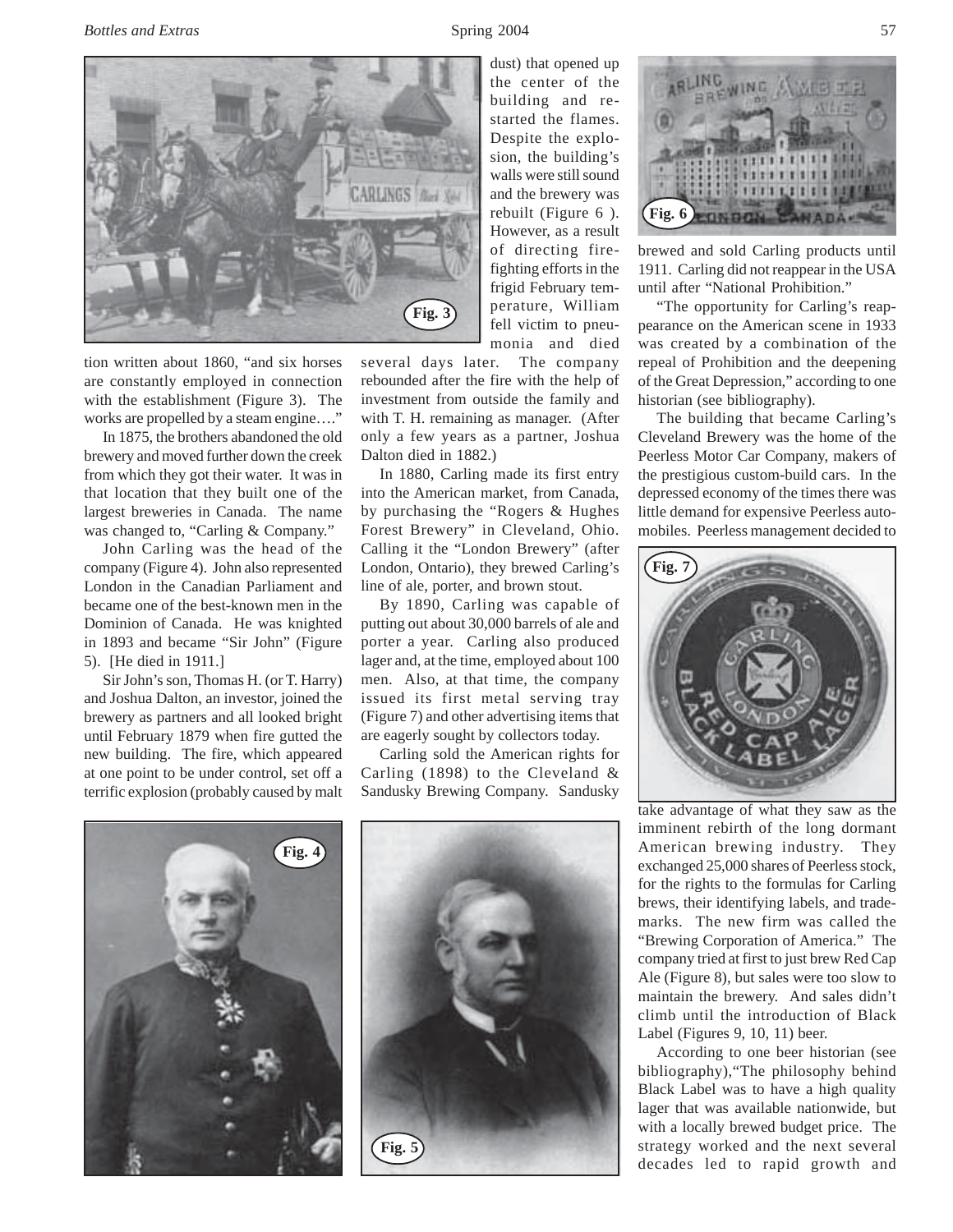*Bottles and Extras* 57



tion written about 1860, "and six horses are constantly employed in connection with the establishment (Figure 3). The works are propelled by a steam engine...."

In 1875, the brothers abandoned the old brewery and moved further down the creek from which they got their water. It was in that location that they built one of the largest breweries in Canada. The name was changed to, "Carling & Company."

John Carling was the head of the company (Figure 4). John also represented London in the Canadian Parliament and became one of the best-known men in the Dominion of Canada. He was knighted in 1893 and became "Sir John" (Figure 5). [He died in 1911.]

Sir John's son, Thomas H. (or T. Harry) and Joshua Dalton, an investor, joined the brewery as partners and all looked bright until February 1879 when fire gutted the new building. The fire, which appeared at one point to be under control, set off a terrific explosion (probably caused by malt

building and restarted the flames. Despite the explosion, the building's walls were still sound and the brewery was rebuilt (Figure 6 ). However, as a result of directing firefighting efforts in the frigid February temperature, William fell victim to pneumonia and died

dust) that opened up the center of the

several days later. The company rebounded after the fire with the help of investment from outside the family and with T. H. remaining as manager. (After only a few years as a partner, Joshua Dalton died in 1882.)

In 1880, Carling made its first entry into the American market, from Canada, by purchasing the "Rogers & Hughes Forest Brewery" in Cleveland, Ohio. Calling it the "London Brewery" (after London, Ontario), they brewed Carling's line of ale, porter, and brown stout.

By 1890, Carling was capable of putting out about 30,000 barrels of ale and porter a year. Carling also produced lager and, at the time, employed about 100 men. Also, at that time, the company issued its first metal serving tray (Figure 7) and other advertising items that are eagerly sought by collectors today.

Carling sold the American rights for Carling (1898) to the Cleveland & Sandusky Brewing Company. Sandusky





1111111111111 **TETTTTTTTTTT Fig. 6** とりみりの

brewed and sold Carling products until 1911. Carling did not reappear in the USA until after "National Prohibition."

"The opportunity for Carling's reappearance on the American scene in 1933 was created by a combination of the repeal of Prohibition and the deepening of the Great Depression," according to one historian (see bibliography).

The building that became Carling's Cleveland Brewery was the home of the Peerless Motor Car Company, makers of the prestigious custom-build cars. In the depressed economy of the times there was little demand for expensive Peerless automobiles. Peerless management decided to



take advantage of what they saw as the imminent rebirth of the long dormant American brewing industry. They exchanged 25,000 shares of Peerless stock, for the rights to the formulas for Carling brews, their identifying labels, and trademarks. The new firm was called the "Brewing Corporation of America." The company tried at first to just brew Red Cap Ale (Figure 8), but sales were too slow to maintain the brewery. And sales didn't climb until the introduction of Black Label (Figures 9, 10, 11) beer.

According to one beer historian (see bibliography),"The philosophy behind Black Label was to have a high quality lager that was available nationwide, but with a locally brewed budget price. The strategy worked and the next several decades led to rapid growth and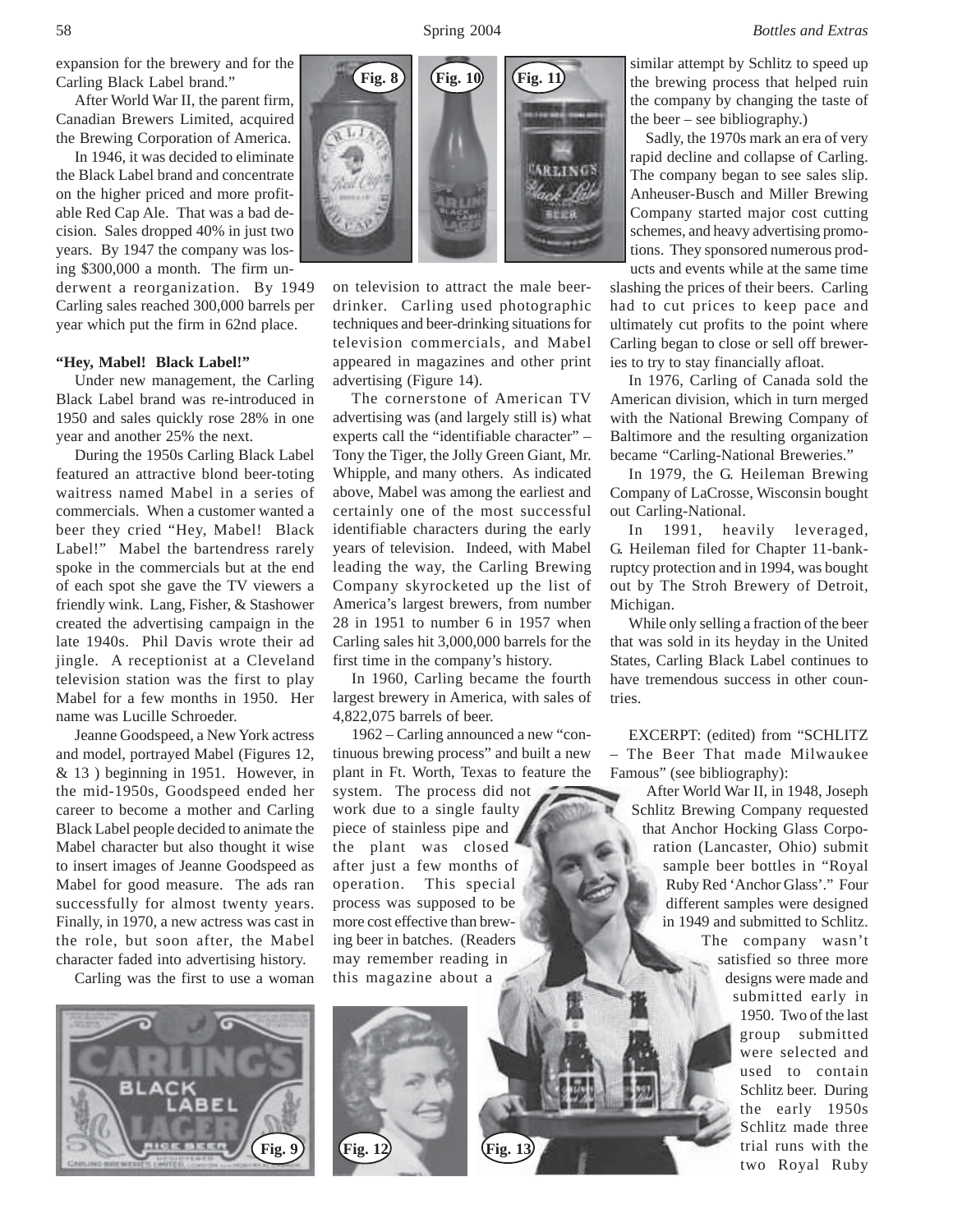expansion for the brewery and for the Carling Black Label brand."

After World War II, the parent firm, Canadian Brewers Limited, acquired the Brewing Corporation of America.

In 1946, it was decided to eliminate the Black Label brand and concentrate on the higher priced and more profitable Red Cap Ale. That was a bad decision. Sales dropped 40% in just two years. By 1947 the company was losing \$300,000 a month. The firm un-

derwent a reorganization. By 1949 Carling sales reached 300,000 barrels per year which put the firm in 62nd place.

## **"Hey, Mabel! Black Label!"**

Under new management, the Carling Black Label brand was re-introduced in 1950 and sales quickly rose 28% in one year and another 25% the next.

During the 1950s Carling Black Label featured an attractive blond beer-toting waitress named Mabel in a series of commercials. When a customer wanted a beer they cried "Hey, Mabel! Black Label!" Mabel the bartendress rarely spoke in the commercials but at the end of each spot she gave the TV viewers a friendly wink. Lang, Fisher, & Stashower created the advertising campaign in the late 1940s. Phil Davis wrote their ad jingle. A receptionist at a Cleveland television station was the first to play Mabel for a few months in 1950. Her name was Lucille Schroeder.

Jeanne Goodspeed, a New York actress and model, portrayed Mabel (Figures 12, & 13 ) beginning in 1951. However, in the mid-1950s, Goodspeed ended her career to become a mother and Carling Black Label people decided to animate the Mabel character but also thought it wise to insert images of Jeanne Goodspeed as Mabel for good measure. The ads ran successfully for almost twenty years. Finally, in 1970, a new actress was cast in the role, but soon after, the Mabel character faded into advertising history.

Carling was the first to use a woman





on television to attract the male beerdrinker. Carling used photographic techniques and beer-drinking situations for television commercials, and Mabel appeared in magazines and other print advertising (Figure 14).

The cornerstone of American TV advertising was (and largely still is) what experts call the "identifiable character" – Tony the Tiger, the Jolly Green Giant, Mr. Whipple, and many others. As indicated above, Mabel was among the earliest and certainly one of the most successful identifiable characters during the early years of television. Indeed, with Mabel leading the way, the Carling Brewing Company skyrocketed up the list of America's largest brewers, from number 28 in 1951 to number 6 in 1957 when Carling sales hit 3,000,000 barrels for the first time in the company's history.

In 1960, Carling became the fourth largest brewery in America, with sales of 4,822,075 barrels of beer.

1962 – Carling announced a new "continuous brewing process" and built a new plant in Ft. Worth, Texas to feature the

system. The process did not work due to a single faulty piece of stainless pipe and the plant was closed after just a few months of operation. This special process was supposed to be more cost effective than brewing beer in batches. (Readers may remember reading in this magazine about a

similar attempt by Schlitz to speed up the brewing process that helped ruin the company by changing the taste of the beer – see bibliography.)

 Sadly, the 1970s mark an era of very rapid decline and collapse of Carling. The company began to see sales slip. Anheuser-Busch and Miller Brewing Company started major cost cutting schemes, and heavy advertising promotions. They sponsored numerous products and events while at the same time

slashing the prices of their beers. Carling had to cut prices to keep pace and ultimately cut profits to the point where Carling began to close or sell off breweries to try to stay financially afloat.

In 1976, Carling of Canada sold the American division, which in turn merged with the National Brewing Company of Baltimore and the resulting organization became "Carling-National Breweries."

In 1979, the G. Heileman Brewing Company of LaCrosse, Wisconsin bought out Carling-National.

In 1991, heavily leveraged, G. Heileman filed for Chapter 11-bankruptcy protection and in 1994, was bought out by The Stroh Brewery of Detroit, Michigan.

While only selling a fraction of the beer that was sold in its heyday in the United States, Carling Black Label continues to have tremendous success in other countries.

EXCERPT: (edited) from "SCHLITZ The Beer That made Milwaukee Famous" (see bibliography):

 After World War II, in 1948, Joseph Schlitz Brewing Company requested that Anchor Hocking Glass Corporation (Lancaster, Ohio) submit sample beer bottles in "Royal Ruby Red 'Anchor Glass'." Four different samples were designed in 1949 and submitted to Schlitz. The company wasn't satisfied so three more designs were made and submitted early in 1950. Two of the last group submitted were selected and used to contain Schlitz beer. During the early 1950s Schlitz made three trial runs with the two Royal Ruby